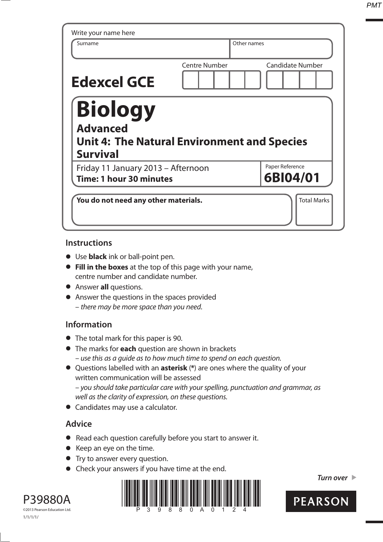*PMT*

| Write your name here                                                                                |                      |                             |
|-----------------------------------------------------------------------------------------------------|----------------------|-----------------------------|
| Surname                                                                                             | Other names          |                             |
| <b>Edexcel GCE</b>                                                                                  | <b>Centre Number</b> | <b>Candidate Number</b>     |
| Biology<br><b>Advanced</b><br><b>Unit 4: The Natural Environment and Species</b><br><b>Survival</b> |                      |                             |
| Friday 11 January 2013 - Afternoon<br>Time: 1 hour 30 minutes                                       |                      | Paper Reference<br>6BI04/01 |
| You do not need any other materials.                                                                |                      | <b>Total Marks</b>          |

## **Instructions**

- **t** Use **black** ink or ball-point pen.
- **Fill in the boxes** at the top of this page with your name, centre number and candidate number.
- **•** Answer **all** questions.
- **•** Answer the questions in the spaces provided – there may be more space than you need.

## **Information**

- **•** The total mark for this paper is 90.
- **t** The marks for **each** question are shown in brackets – use this as a guide as to how much time to spend on each question.
- **t** Questions labelled with an **asterisk** (**\***) are ones where the quality of your written communication will be assessed – you should take particular care with your spelling, punctuation and grammar, as well as the clarity of expression, on these questions.
- **•** Candidates may use a calculator.

## **Advice**

- **t** Read each question carefully before you start to answer it.
- **•** Keep an eye on the time.
- **•** Try to answer every question.
- **•** Check your answers if you have time at the end.



*Turn over* 



P39880A ©2013 Pearson Education Ltd. 1/1/1/1/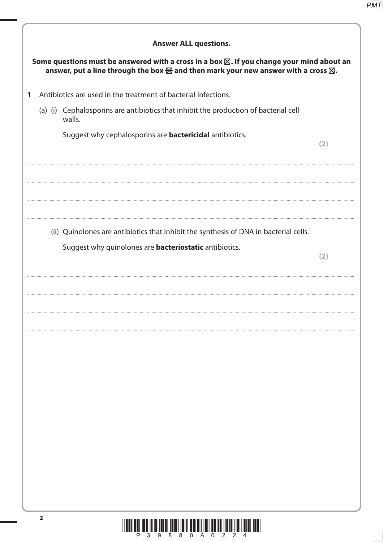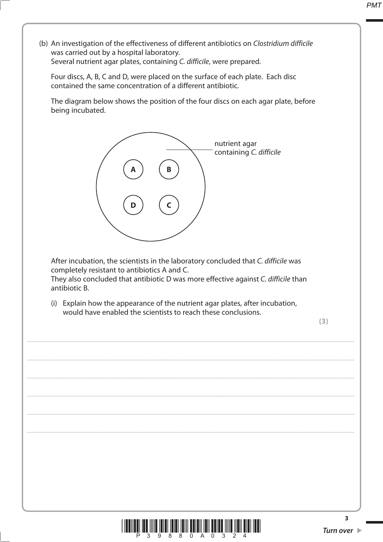**PMT** 

was carried out by a hospital laboratory. Several nutrient agar plates, containing C. difficile, were prepared. Four discs, A, B, C and D, were placed on the surface of each plate. Each disc contained the same concentration of a different antibiotic. The diagram below shows the position of the four discs on each agar plate, before being incubated. nutrient agar containing C. difficile After incubation, the scientists in the laboratory concluded that C. difficile was completely resistant to antibiotics A and C. They also concluded that antibiotic D was more effective against C. difficile than antibiotic B. (i) Explain how the appearance of the nutrient agar plates, after incubation, would have enabled the scientists to reach these conclusions.  $(3)$ 3 9 8 8 0 A 0 3

(b) An investigation of the effectiveness of different antibiotics on Clostridium difficile

 $\overline{\mathbf{3}}$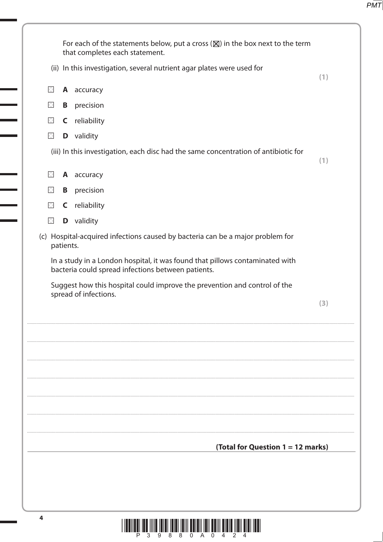|             |           | For each of the statements below, put a cross $(\boxtimes)$ in the box next to the term |     |
|-------------|-----------|-----------------------------------------------------------------------------------------|-----|
|             |           | that completes each statement.                                                          |     |
|             |           | (ii) In this investigation, several nutrient agar plates were used for                  | (1) |
| $\times$    |           | A accuracy                                                                              |     |
| $\times$    | B         | precision                                                                               |     |
| $\boxtimes$ |           | <b>C</b> reliability                                                                    |     |
| $\boxtimes$ |           | <b>D</b> validity                                                                       |     |
|             |           | (iii) In this investigation, each disc had the same concentration of antibiotic for     | (1) |
| $\boxtimes$ |           | A accuracy                                                                              |     |
| $\times$    |           | <b>B</b> precision                                                                      |     |
| $\boxtimes$ |           | <b>C</b> reliability                                                                    |     |
| $\times$    |           | <b>D</b> validity                                                                       |     |
|             | patients. | (c) Hospital-acquired infections caused by bacteria can be a major problem for          |     |
|             |           |                                                                                         |     |
|             |           | (Total for Question 1 = 12 marks)                                                       |     |
| 4           |           |                                                                                         |     |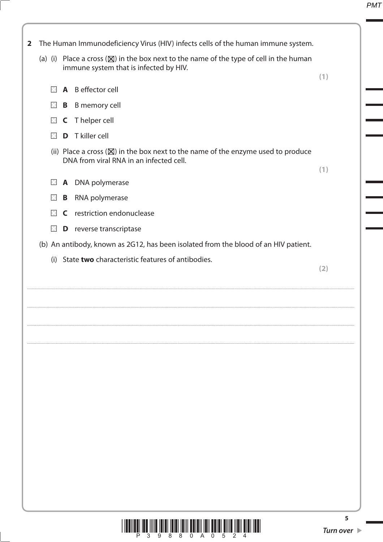

3 9 8 8 0 A 0 5 2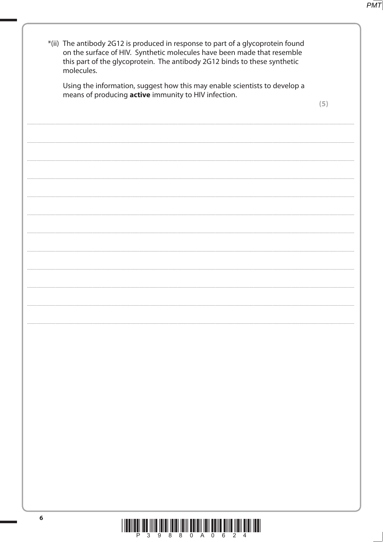|   | *(ii) The antibody 2G12 is produced in response to part of a glycoprotein found<br>on the surface of HIV. Synthetic molecules have been made that resemble<br>this part of the glycoprotein. The antibody 2G12 binds to these synthetic<br>molecules. |     |
|---|-------------------------------------------------------------------------------------------------------------------------------------------------------------------------------------------------------------------------------------------------------|-----|
|   | Using the information, suggest how this may enable scientists to develop a<br>means of producing active immunity to HIV infection.                                                                                                                    |     |
|   |                                                                                                                                                                                                                                                       | (5) |
|   |                                                                                                                                                                                                                                                       |     |
|   |                                                                                                                                                                                                                                                       |     |
|   |                                                                                                                                                                                                                                                       |     |
|   |                                                                                                                                                                                                                                                       |     |
|   |                                                                                                                                                                                                                                                       |     |
|   |                                                                                                                                                                                                                                                       |     |
|   |                                                                                                                                                                                                                                                       |     |
|   |                                                                                                                                                                                                                                                       |     |
|   |                                                                                                                                                                                                                                                       |     |
|   |                                                                                                                                                                                                                                                       |     |
|   |                                                                                                                                                                                                                                                       |     |
|   |                                                                                                                                                                                                                                                       |     |
|   |                                                                                                                                                                                                                                                       |     |
|   |                                                                                                                                                                                                                                                       |     |
|   |                                                                                                                                                                                                                                                       |     |
|   |                                                                                                                                                                                                                                                       |     |
|   |                                                                                                                                                                                                                                                       |     |
|   |                                                                                                                                                                                                                                                       |     |
|   |                                                                                                                                                                                                                                                       |     |
|   |                                                                                                                                                                                                                                                       |     |
|   |                                                                                                                                                                                                                                                       |     |
|   |                                                                                                                                                                                                                                                       |     |
| 6 | <u>i indiindi ind illin inidi inidi inili dululi inil dullu dilla ildil didi iddi.</u>                                                                                                                                                                |     |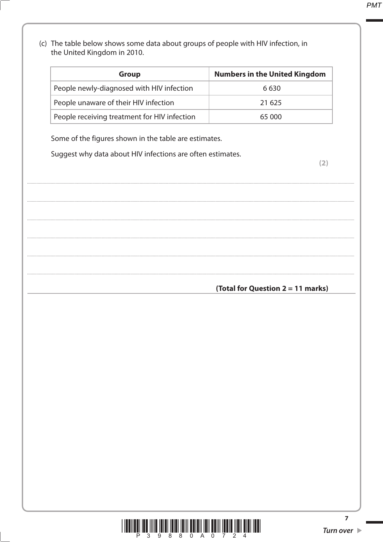(c) The table below shows some data about groups of people with HIV infection, in the United Kingdom in 2010.

| <b>Group</b>                                 | <b>Numbers in the United Kingdom</b> |
|----------------------------------------------|--------------------------------------|
| People newly-diagnosed with HIV infection    | 6 6 3 0                              |
| People unaware of their HIV infection        | 21 625                               |
| People receiving treatment for HIV infection | 65 000                               |

Some of the figures shown in the table are estimates.

Suggest why data about HIV infections are often estimates.

 $(2)$ 

## (Total for Question 2 = 11 marks)



 $\overline{7}$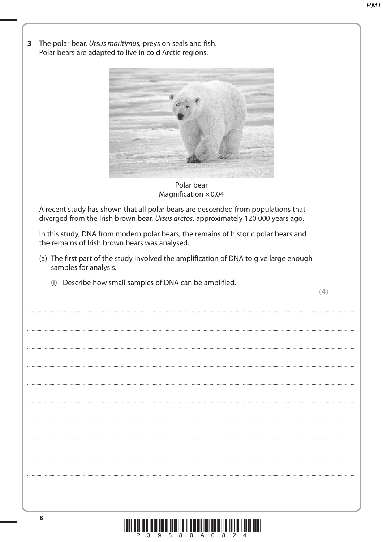The polar bear, Ursus maritimus, preys on seals and fish.  $\overline{\mathbf{3}}$ Polar bears are adapted to live in cold Arctic regions.



Polar bear Magnification  $\times$  0.04

A recent study has shown that all polar bears are descended from populations that diverged from the Irish brown bear, Ursus arctos, approximately 120 000 years ago.

In this study, DNA from modern polar bears, the remains of historic polar bears and the remains of Irish brown bears was analysed.

- (a) The first part of the study involved the amplification of DNA to give large enough samples for analysis.
	- (i) Describe how small samples of DNA can be amplified.

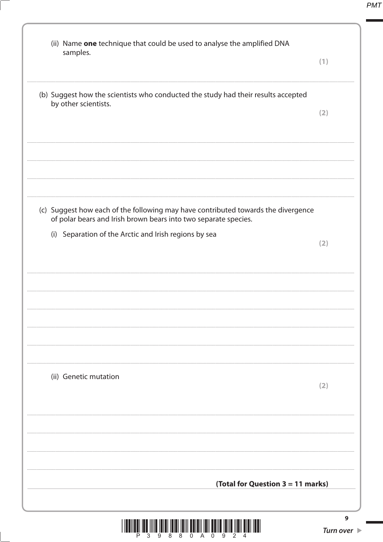| (ii) Name one technique that could be used to analyse the amplified DNA<br>samples.                                                                  | (1)                                  |
|------------------------------------------------------------------------------------------------------------------------------------------------------|--------------------------------------|
| (b) Suggest how the scientists who conducted the study had their results accepted<br>by other scientists.                                            | (2)                                  |
|                                                                                                                                                      |                                      |
| (c) Suggest how each of the following may have contributed towards the divergence<br>of polar bears and Irish brown bears into two separate species. |                                      |
| (i) Separation of the Arctic and Irish regions by sea                                                                                                | (2)                                  |
|                                                                                                                                                      |                                      |
|                                                                                                                                                      |                                      |
| (ii) Genetic mutation                                                                                                                                | (2)                                  |
|                                                                                                                                                      |                                      |
| (Total for Question 3 = 11 marks)                                                                                                                    |                                      |
|                                                                                                                                                      | 9<br>Turn over $\blacktriangleright$ |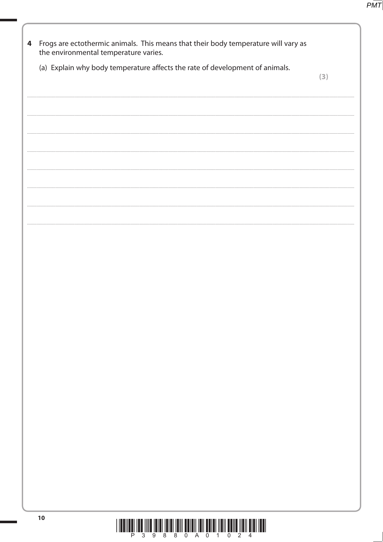| 4 | Frogs are ectothermic animals. This means that their body temperature will vary as<br>the environmental temperature varies. |     |
|---|-----------------------------------------------------------------------------------------------------------------------------|-----|
|   | (a) Explain why body temperature affects the rate of development of animals.                                                | (3) |
|   |                                                                                                                             |     |
|   |                                                                                                                             |     |
|   |                                                                                                                             |     |
|   |                                                                                                                             |     |
|   |                                                                                                                             |     |
|   |                                                                                                                             |     |
|   |                                                                                                                             |     |
|   |                                                                                                                             |     |
|   |                                                                                                                             |     |
|   |                                                                                                                             |     |
|   |                                                                                                                             |     |
|   |                                                                                                                             |     |
|   |                                                                                                                             |     |
|   |                                                                                                                             |     |
|   |                                                                                                                             |     |
|   |                                                                                                                             |     |
|   |                                                                                                                             |     |
|   |                                                                                                                             |     |
|   |                                                                                                                             |     |
|   | 10<br><u> 1 IEEN EEN TEK TITTE TETET TETET TETT KENEDI TETT EETET TIETI HETTE TIETI ETET TEET</u>                           |     |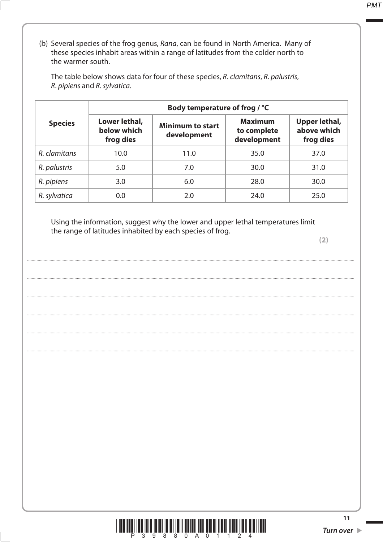(b) Several species of the frog genus, Rana, can be found in North America. Many of these species inhabit areas within a range of latitudes from the colder north to the warmer south.

The table below shows data for four of these species, R. clamitans, R. palustris, R. pipiens and R. sylvatica.

|                | Body temperature of frog / °C             |                                        |                                              |                                                  |
|----------------|-------------------------------------------|----------------------------------------|----------------------------------------------|--------------------------------------------------|
| <b>Species</b> | Lower lethal,<br>below which<br>frog dies | <b>Minimum to start</b><br>development | <b>Maximum</b><br>to complete<br>development | <b>Upper lethal,</b><br>above which<br>frog dies |
| R. clamitans   | 10.0                                      | 11.0                                   | 35.0                                         | 37.0                                             |
| R. palustris   | 5.0                                       | 7.0                                    | 30.0                                         | 31.0                                             |
| R. pipiens     | 3.0                                       | 6.0                                    | 28.0                                         | 30.0                                             |
| R. sylvatica   | 0.0                                       | 2.0                                    | 24.0                                         | 25.0                                             |

Using the information, suggest why the lower and upper lethal temperatures limit the range of latitudes inhabited by each species of frog.



 $11$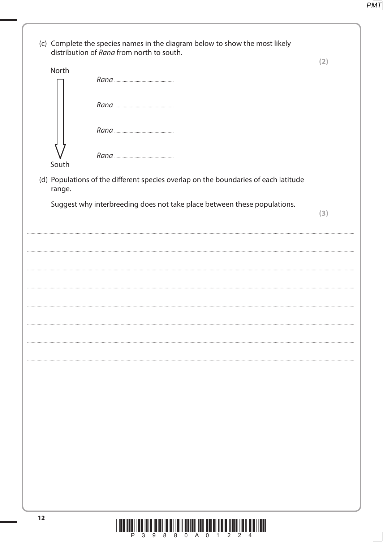|        | (c) Complete the species names in the diagram below to show the most likely<br>distribution of Rana from north to south. | (2) |
|--------|--------------------------------------------------------------------------------------------------------------------------|-----|
| North  |                                                                                                                          |     |
|        |                                                                                                                          |     |
|        |                                                                                                                          |     |
| South  |                                                                                                                          |     |
| range. | (d) Populations of the different species overlap on the boundaries of each latitude                                      |     |
|        | Suggest why interbreeding does not take place between these populations.                                                 | (3) |
|        |                                                                                                                          |     |
|        |                                                                                                                          |     |
|        |                                                                                                                          |     |
|        |                                                                                                                          |     |
|        |                                                                                                                          |     |
|        |                                                                                                                          |     |
|        |                                                                                                                          |     |
|        |                                                                                                                          |     |
|        |                                                                                                                          |     |
|        |                                                                                                                          |     |
|        |                                                                                                                          |     |
|        |                                                                                                                          |     |
|        |                                                                                                                          |     |
|        |                                                                                                                          |     |
| 12     |                                                                                                                          |     |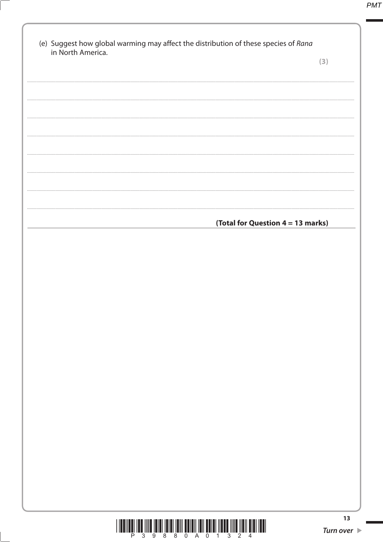| in North America. | (3)                               |
|-------------------|-----------------------------------|
|                   |                                   |
|                   |                                   |
|                   |                                   |
|                   |                                   |
|                   |                                   |
|                   |                                   |
|                   |                                   |
|                   |                                   |
|                   |                                   |
|                   |                                   |
|                   |                                   |
|                   | (Total for Question 4 = 13 marks) |
|                   |                                   |
|                   |                                   |
|                   |                                   |
|                   |                                   |
|                   |                                   |
|                   |                                   |
|                   |                                   |
|                   |                                   |
|                   |                                   |
|                   |                                   |
|                   |                                   |
|                   |                                   |
|                   |                                   |
|                   |                                   |
|                   |                                   |
|                   |                                   |
|                   |                                   |
|                   |                                   |
|                   |                                   |



 $13$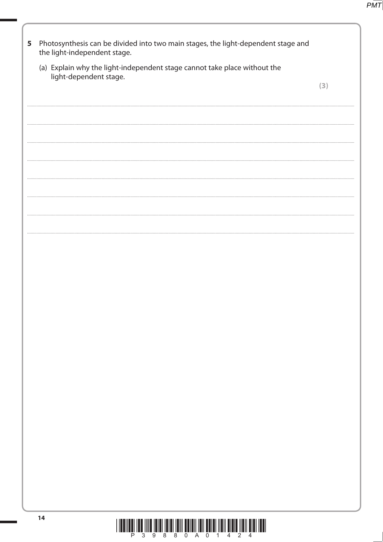| 5 | Photosynthesis can be divided into two main stages, the light-dependent stage and<br>the light-independent stage. |     |  |
|---|-------------------------------------------------------------------------------------------------------------------|-----|--|
|   | (a) Explain why the light-independent stage cannot take place without the<br>light-dependent stage.               |     |  |
|   |                                                                                                                   | (3) |  |
|   |                                                                                                                   |     |  |
|   |                                                                                                                   |     |  |
|   |                                                                                                                   |     |  |
|   |                                                                                                                   |     |  |
|   |                                                                                                                   |     |  |
|   |                                                                                                                   |     |  |
|   |                                                                                                                   |     |  |
|   |                                                                                                                   |     |  |
|   |                                                                                                                   |     |  |
|   |                                                                                                                   |     |  |
|   |                                                                                                                   |     |  |
|   |                                                                                                                   |     |  |
|   |                                                                                                                   |     |  |
|   |                                                                                                                   |     |  |
|   |                                                                                                                   |     |  |
|   |                                                                                                                   |     |  |
|   |                                                                                                                   |     |  |
|   | 14<br><u>i indiran ind illin inidi ididi idili adigli idil bolgi ildi. Digit ildi algi ildi idili idili idi</u>   |     |  |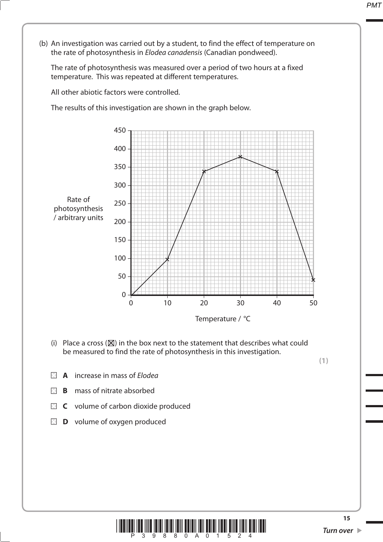(b) An investigation was carried out by a student, to find the effect of temperature on the rate of photosynthesis in *Elodea canadensis* (Canadian pondweed).

 The rate of photosynthesis was measured over a period of two hours at a fixed temperature. This was repeated at different temperatures.

All other abiotic factors were controlled.

The results of this investigation are shown in the graph below.



(i) Place a cross  $(\boxtimes)$  in the box next to the statement that describes what could be measured to find the rate of photosynthesis in this investigation.

**(1)**

- **A** increase in mass of Elodea
- **B** mass of nitrate absorbed
- **C** volume of carbon dioxide produced
- **D** volume of oxygen produced

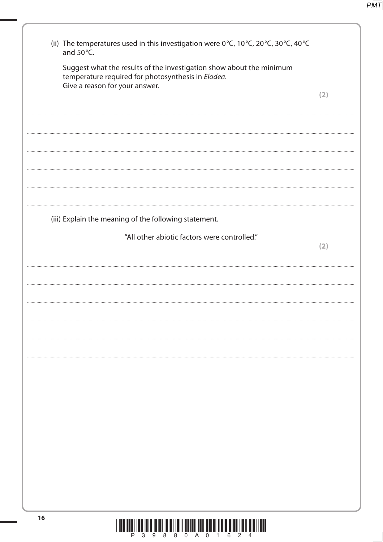(ii) The temperatures used in this investigation were 0°C, 10°C, 20°C, 30°C, 40°C and 50°C. Suggest what the results of the investigation show about the minimum temperature required for photosynthesis in Elodea. Give a reason for your answer.  $(2)$ (iii) Explain the meaning of the following statement. "All other abiotic factors were controlled."  $(2)$ 16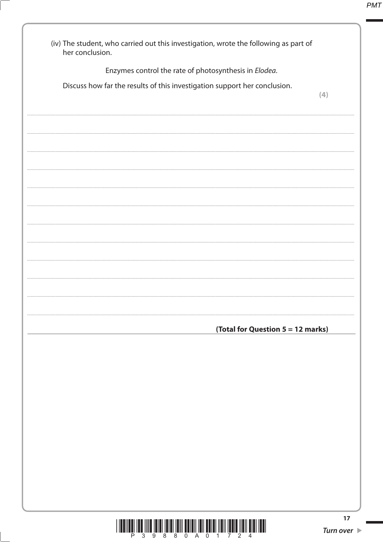| (iv) The student, who carried out this investigation, wrote the following as part of<br>her conclusion. |     |
|---------------------------------------------------------------------------------------------------------|-----|
| Enzymes control the rate of photosynthesis in Elodea.                                                   |     |
| Discuss how far the results of this investigation support her conclusion.                               | (4) |
|                                                                                                         |     |
|                                                                                                         |     |
|                                                                                                         |     |
|                                                                                                         |     |
|                                                                                                         |     |
|                                                                                                         |     |
|                                                                                                         |     |
|                                                                                                         |     |
|                                                                                                         |     |
|                                                                                                         |     |
|                                                                                                         |     |
|                                                                                                         |     |
|                                                                                                         |     |
| (Total for Question 5 = 12 marks)                                                                       |     |
|                                                                                                         |     |
|                                                                                                         |     |
|                                                                                                         |     |
|                                                                                                         |     |
|                                                                                                         |     |
|                                                                                                         |     |
|                                                                                                         |     |
|                                                                                                         |     |
|                                                                                                         |     |
|                                                                                                         |     |
|                                                                                                         | 17  |

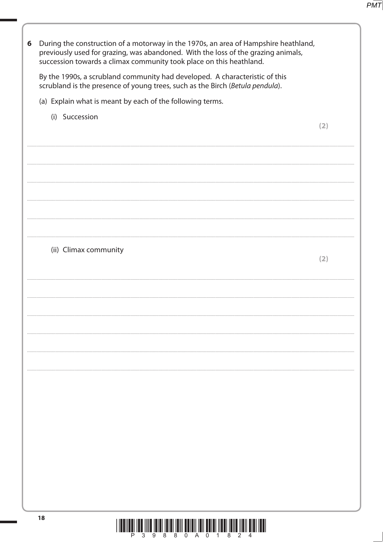| 6 | During the construction of a motorway in the 1970s, an area of Hampshire heathland,<br>previously used for grazing, was abandoned. With the loss of the grazing animals,<br>succession towards a climax community took place on this heathland. |     |
|---|-------------------------------------------------------------------------------------------------------------------------------------------------------------------------------------------------------------------------------------------------|-----|
|   | By the 1990s, a scrubland community had developed. A characteristic of this<br>scrubland is the presence of young trees, such as the Birch (Betula pendula).                                                                                    |     |
|   | (a) Explain what is meant by each of the following terms.                                                                                                                                                                                       |     |
|   | (i) Succession                                                                                                                                                                                                                                  |     |
|   |                                                                                                                                                                                                                                                 | (2) |
|   |                                                                                                                                                                                                                                                 |     |
|   |                                                                                                                                                                                                                                                 |     |
|   |                                                                                                                                                                                                                                                 |     |
|   |                                                                                                                                                                                                                                                 |     |
|   |                                                                                                                                                                                                                                                 |     |
|   |                                                                                                                                                                                                                                                 |     |
|   | (ii) Climax community                                                                                                                                                                                                                           |     |
|   |                                                                                                                                                                                                                                                 | (2) |
|   |                                                                                                                                                                                                                                                 |     |
|   |                                                                                                                                                                                                                                                 |     |
|   |                                                                                                                                                                                                                                                 |     |
|   |                                                                                                                                                                                                                                                 |     |
|   |                                                                                                                                                                                                                                                 |     |
|   |                                                                                                                                                                                                                                                 |     |
|   |                                                                                                                                                                                                                                                 |     |
|   |                                                                                                                                                                                                                                                 |     |
|   |                                                                                                                                                                                                                                                 |     |
|   |                                                                                                                                                                                                                                                 |     |
|   |                                                                                                                                                                                                                                                 |     |
|   |                                                                                                                                                                                                                                                 |     |
|   |                                                                                                                                                                                                                                                 |     |
|   |                                                                                                                                                                                                                                                 |     |
|   | 18<br><u>T 19911991 1991 19119 19131 19131 1911 1913 1913 1914 1915 1916 1917 1918 1919 1919 1919 1919 1</u>                                                                                                                                    |     |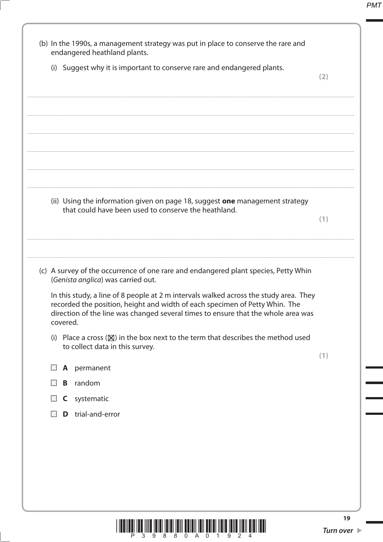|              |          | (i) Suggest why it is important to conserve rare and endangered plants.                                                                                                                                                                                   |     |
|--------------|----------|-----------------------------------------------------------------------------------------------------------------------------------------------------------------------------------------------------------------------------------------------------------|-----|
|              |          |                                                                                                                                                                                                                                                           | (2) |
|              |          |                                                                                                                                                                                                                                                           |     |
|              |          |                                                                                                                                                                                                                                                           |     |
|              |          |                                                                                                                                                                                                                                                           |     |
|              |          |                                                                                                                                                                                                                                                           |     |
|              |          |                                                                                                                                                                                                                                                           |     |
|              |          |                                                                                                                                                                                                                                                           |     |
|              |          | (ii) Using the information given on page 18, suggest one management strategy<br>that could have been used to conserve the heathland.                                                                                                                      |     |
|              |          |                                                                                                                                                                                                                                                           | (1) |
|              |          |                                                                                                                                                                                                                                                           |     |
|              |          |                                                                                                                                                                                                                                                           |     |
|              |          | (c) A survey of the occurrence of one rare and endangered plant species, Petty Whin<br>(Genista anglica) was carried out.                                                                                                                                 |     |
|              | covered. | In this study, a line of 8 people at 2 m intervals walked across the study area. They<br>recorded the position, height and width of each specimen of Petty Whin. The<br>direction of the line was changed several times to ensure that the whole area was |     |
| (i)          |          | Place a cross ( $\boxtimes$ ) in the box next to the term that describes the method used                                                                                                                                                                  |     |
|              |          | to collect data in this survey.                                                                                                                                                                                                                           |     |
| $\mathbb{R}$ | A        | permanent                                                                                                                                                                                                                                                 | (1) |
| $\mathbb{R}$ | B        | random                                                                                                                                                                                                                                                    |     |
| $\times$     |          | C systematic                                                                                                                                                                                                                                              |     |
|              | D        | trial-and-error                                                                                                                                                                                                                                           |     |
|              |          |                                                                                                                                                                                                                                                           |     |
|              |          |                                                                                                                                                                                                                                                           |     |

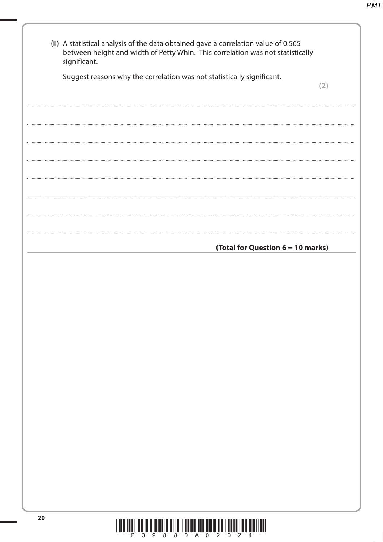| (ii) A statistical analysis of the data obtained gave a correlation value of 0.565<br>between height and width of Petty Whin. This correlation was not statistically<br>significant. |     |
|--------------------------------------------------------------------------------------------------------------------------------------------------------------------------------------|-----|
| Suggest reasons why the correlation was not statistically significant.                                                                                                               | (2) |
|                                                                                                                                                                                      |     |
|                                                                                                                                                                                      |     |
|                                                                                                                                                                                      |     |
|                                                                                                                                                                                      |     |
|                                                                                                                                                                                      |     |
|                                                                                                                                                                                      |     |
|                                                                                                                                                                                      |     |
| (Total for Question 6 = 10 marks)                                                                                                                                                    |     |
|                                                                                                                                                                                      |     |
|                                                                                                                                                                                      |     |
|                                                                                                                                                                                      |     |
|                                                                                                                                                                                      |     |
|                                                                                                                                                                                      |     |
|                                                                                                                                                                                      |     |
|                                                                                                                                                                                      |     |
|                                                                                                                                                                                      |     |
|                                                                                                                                                                                      |     |
|                                                                                                                                                                                      |     |
|                                                                                                                                                                                      |     |
|                                                                                                                                                                                      |     |
|                                                                                                                                                                                      |     |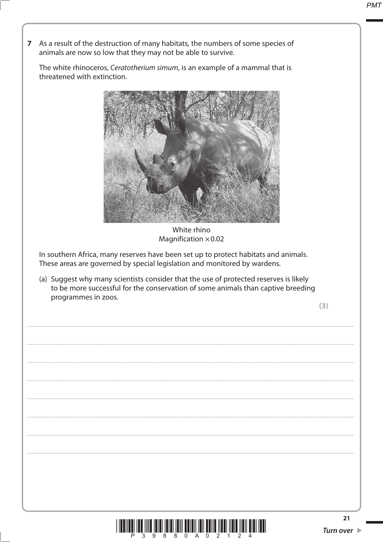7 As a result of the destruction of many habitats, the numbers of some species of animals are now so low that they may not be able to survive.

The white rhinoceros, Ceratotherium simum, is an example of a mammal that is threatened with extinction.



White rhino Magnification  $\times$  0.02

In southern Africa, many reserves have been set up to protect habitats and animals. These areas are governed by special legislation and monitored by wardens.

(a) Suggest why many scientists consider that the use of protected reserves is likely to be more successful for the conservation of some animals than captive breeding programmes in zoos.

 $(3)$ 

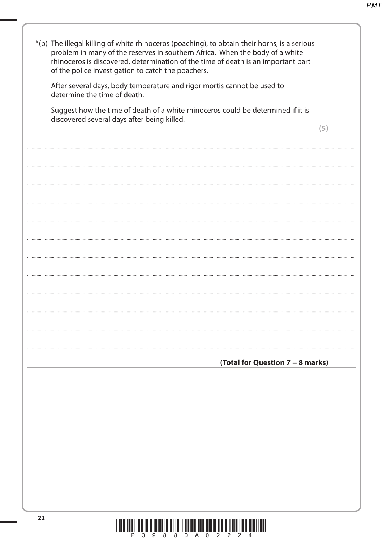| *(b) The illegal killing of white rhinoceros (poaching), to obtain their horns, is a serious<br>problem in many of the reserves in southern Africa. When the body of a white<br>rhinoceros is discovered, determination of the time of death is an important part<br>of the police investigation to catch the poachers. |                                  |
|-------------------------------------------------------------------------------------------------------------------------------------------------------------------------------------------------------------------------------------------------------------------------------------------------------------------------|----------------------------------|
| After several days, body temperature and rigor mortis cannot be used to<br>determine the time of death.                                                                                                                                                                                                                 |                                  |
| Suggest how the time of death of a white rhinoceros could be determined if it is<br>discovered several days after being killed.                                                                                                                                                                                         |                                  |
|                                                                                                                                                                                                                                                                                                                         | (5)                              |
|                                                                                                                                                                                                                                                                                                                         |                                  |
|                                                                                                                                                                                                                                                                                                                         |                                  |
|                                                                                                                                                                                                                                                                                                                         |                                  |
|                                                                                                                                                                                                                                                                                                                         |                                  |
|                                                                                                                                                                                                                                                                                                                         |                                  |
|                                                                                                                                                                                                                                                                                                                         |                                  |
|                                                                                                                                                                                                                                                                                                                         |                                  |
|                                                                                                                                                                                                                                                                                                                         |                                  |
|                                                                                                                                                                                                                                                                                                                         |                                  |
|                                                                                                                                                                                                                                                                                                                         | (Total for Question 7 = 8 marks) |
|                                                                                                                                                                                                                                                                                                                         |                                  |
|                                                                                                                                                                                                                                                                                                                         |                                  |
|                                                                                                                                                                                                                                                                                                                         |                                  |
|                                                                                                                                                                                                                                                                                                                         |                                  |
|                                                                                                                                                                                                                                                                                                                         |                                  |
|                                                                                                                                                                                                                                                                                                                         |                                  |
| 22                                                                                                                                                                                                                                                                                                                      |                                  |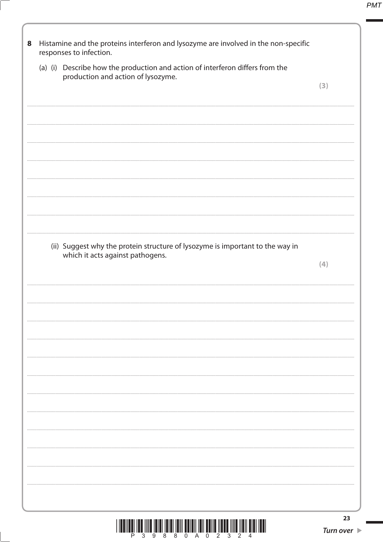| 8 | Histamine and the proteins interferon and lysozyme are involved in the non-specific<br>responses to infection.      |     |
|---|---------------------------------------------------------------------------------------------------------------------|-----|
|   | (a) (i) Describe how the production and action of interferon differs from the<br>production and action of lysozyme. |     |
|   |                                                                                                                     | (3) |
|   |                                                                                                                     |     |
|   |                                                                                                                     |     |
|   |                                                                                                                     |     |
|   |                                                                                                                     |     |
|   |                                                                                                                     |     |
|   |                                                                                                                     |     |
|   |                                                                                                                     |     |
|   | (ii) Suggest why the protein structure of lysozyme is important to the way in<br>which it acts against pathogens.   | (4) |
|   |                                                                                                                     |     |
|   |                                                                                                                     |     |
|   |                                                                                                                     |     |
|   |                                                                                                                     |     |
|   |                                                                                                                     |     |
|   |                                                                                                                     |     |
|   |                                                                                                                     |     |
|   |                                                                                                                     |     |
|   |                                                                                                                     |     |
|   |                                                                                                                     |     |
|   |                                                                                                                     |     |
|   |                                                                                                                     |     |
|   |                                                                                                                     |     |